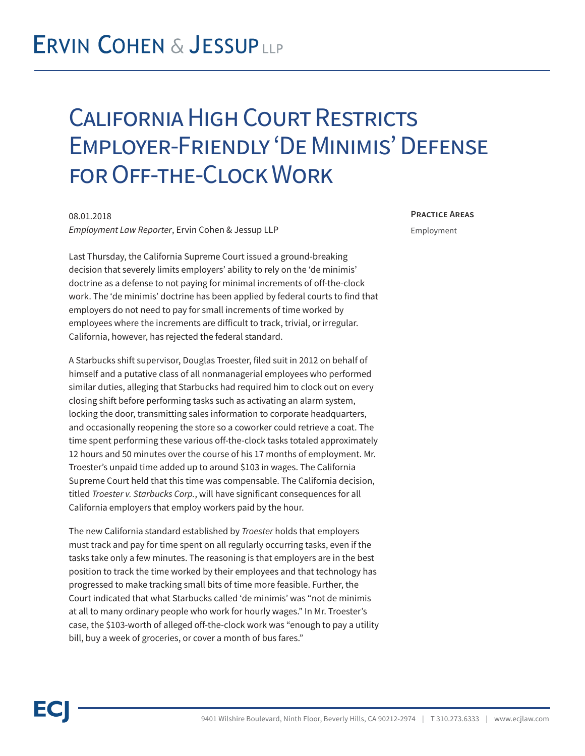## **ERVIN COHEN & JESSUPLLP**

## California High Court Restricts Employer-Friendly 'De Minimis' Defense for Off-the-Clock Work

08.01.2018 *Employment Law Reporter*, Ervin Cohen & Jessup LLP

Last Thursday, the California Supreme Court issued a ground-breaking decision that severely limits employers' ability to rely on the 'de minimis' doctrine as a defense to not paying for minimal increments of off-the-clock work. The 'de minimis' doctrine has been applied by federal courts to find that employers do not need to pay for small increments of time worked by employees where the increments are difficult to track, trivial, or irregular. California, however, has rejected the federal standard.

A Starbucks shift supervisor, Douglas Troester, filed suit in 2012 on behalf of himself and a putative class of all nonmanagerial employees who performed similar duties, alleging that Starbucks had required him to clock out on every closing shift before performing tasks such as activating an alarm system, locking the door, transmitting sales information to corporate headquarters, and occasionally reopening the store so a coworker could retrieve a coat. The time spent performing these various off-the-clock tasks totaled approximately 12 hours and 50 minutes over the course of his 17 months of employment. Mr. Troester's unpaid time added up to around \$103 in wages. The California Supreme Court held that this time was compensable. The California decision, titled *Troester v. Starbucks Corp.*, will have significant consequences for all California employers that employ workers paid by the hour.

The new California standard established by *Troester* holds that employers must track and pay for time spent on all regularly occurring tasks, even if the tasks take only a few minutes. The reasoning is that employers are in the best position to track the time worked by their employees and that technology has progressed to make tracking small bits of time more feasible. Further, the Court indicated that what Starbucks called 'de minimis' was "not de minimis at all to many ordinary people who work for hourly wages." In Mr. Troester's case, the \$103-worth of alleged off-the-clock work was "enough to pay a utility bill, buy a week of groceries, or cover a month of bus fares."

**Practice Areas**

Employment